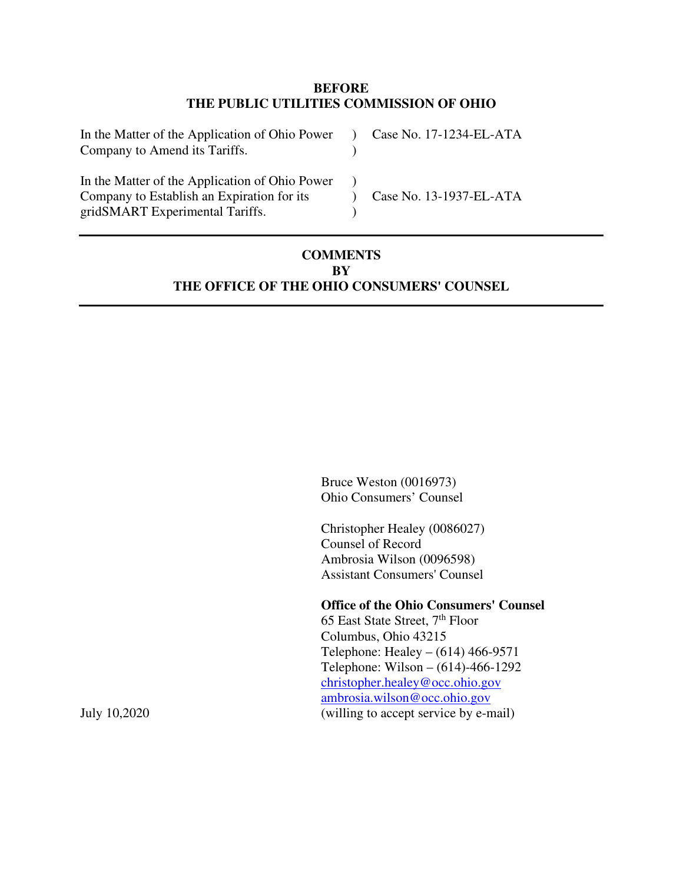#### **BEFORE THE PUBLIC UTILITIES COMMISSION OF OHIO**

| In the Matter of the Application of Ohio Power<br>Company to Amend its Tariffs.                                                 | Case No. 17-1234-EL-ATA |
|---------------------------------------------------------------------------------------------------------------------------------|-------------------------|
| In the Matter of the Application of Ohio Power<br>Company to Establish an Expiration for its<br>gridSMART Experimental Tariffs. | Case No. 13-1937-EL-ATA |

## **COMMENTS BY THE OFFICE OF THE OHIO CONSUMERS' COUNSEL**

Bruce Weston (0016973) Ohio Consumers' Counsel

Christopher Healey (0086027) Counsel of Record Ambrosia Wilson (0096598) Assistant Consumers' Counsel

#### **Office of the Ohio Consumers' Counsel**

65 East State Street, 7th Floor Columbus, Ohio 43215 Telephone: Healey – (614) 466-9571 Telephone: Wilson – (614)-466-1292 christopher.healey@occ.ohio.gov ambrosia.wilson@occ.ohio.gov July 10,2020 (willing to accept service by e-mail)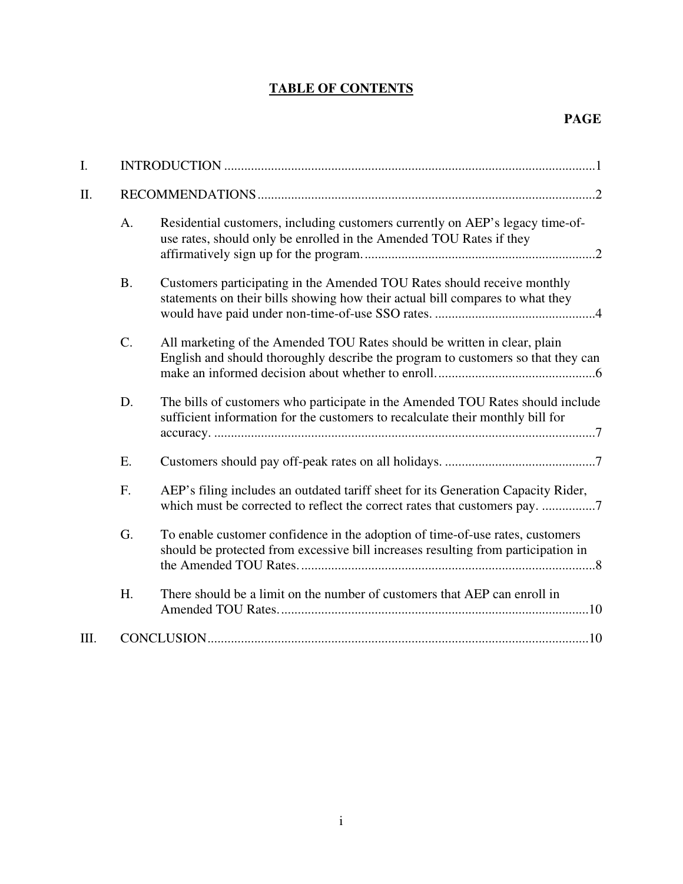# **TABLE OF CONTENTS**

| I.   |                 |                                                                                                                                                                    |
|------|-----------------|--------------------------------------------------------------------------------------------------------------------------------------------------------------------|
| II.  |                 |                                                                                                                                                                    |
|      | A.              | Residential customers, including customers currently on AEP's legacy time-of-<br>use rates, should only be enrolled in the Amended TOU Rates if they               |
|      | <b>B.</b>       | Customers participating in the Amended TOU Rates should receive monthly<br>statements on their bills showing how their actual bill compares to what they           |
|      | $\mathcal{C}$ . | All marketing of the Amended TOU Rates should be written in clear, plain<br>English and should thoroughly describe the program to customers so that they can       |
|      | D.              | The bills of customers who participate in the Amended TOU Rates should include<br>sufficient information for the customers to recalculate their monthly bill for   |
|      | E.              |                                                                                                                                                                    |
|      | F.              | AEP's filing includes an outdated tariff sheet for its Generation Capacity Rider,<br>which must be corrected to reflect the correct rates that customers pay. 7    |
|      | G.              | To enable customer confidence in the adoption of time-of-use rates, customers<br>should be protected from excessive bill increases resulting from participation in |
|      | H.              | There should be a limit on the number of customers that AEP can enroll in                                                                                          |
| III. |                 |                                                                                                                                                                    |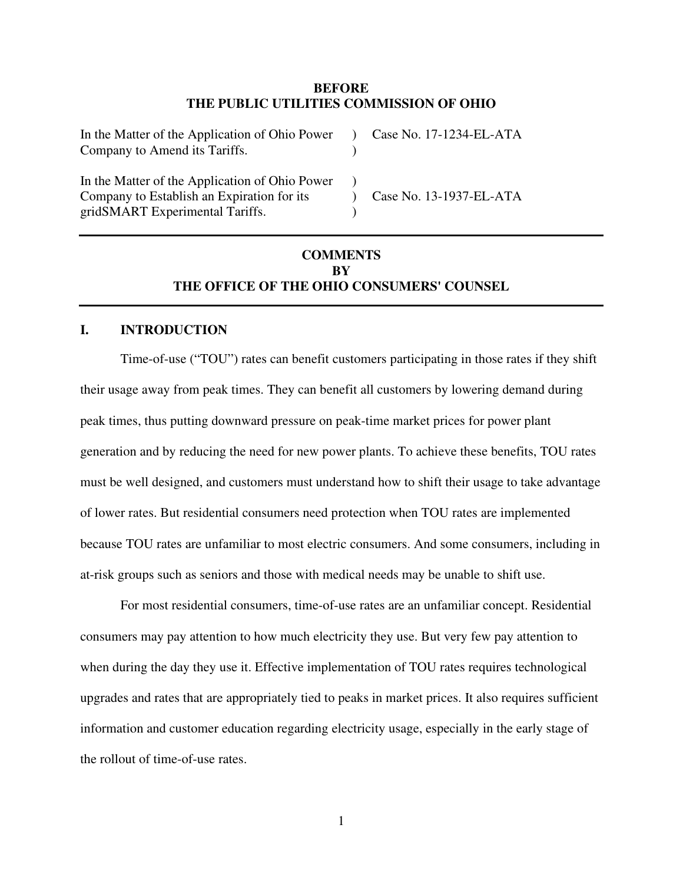#### **BEFORE THE PUBLIC UTILITIES COMMISSION OF OHIO**

| In the Matter of the Application of Ohio Power<br>Company to Amend its Tariffs.                                                 | Case No. 17-1234-EL-ATA |
|---------------------------------------------------------------------------------------------------------------------------------|-------------------------|
| In the Matter of the Application of Ohio Power<br>Company to Establish an Expiration for its<br>gridSMART Experimental Tariffs. | Case No. 13-1937-EL-ATA |

## **COMMENTS BY THE OFFICE OF THE OHIO CONSUMERS' COUNSEL**

#### **I. INTRODUCTION**

Time-of-use ("TOU") rates can benefit customers participating in those rates if they shift their usage away from peak times. They can benefit all customers by lowering demand during peak times, thus putting downward pressure on peak-time market prices for power plant generation and by reducing the need for new power plants. To achieve these benefits, TOU rates must be well designed, and customers must understand how to shift their usage to take advantage of lower rates. But residential consumers need protection when TOU rates are implemented because TOU rates are unfamiliar to most electric consumers. And some consumers, including in at-risk groups such as seniors and those with medical needs may be unable to shift use.

For most residential consumers, time-of-use rates are an unfamiliar concept. Residential consumers may pay attention to how much electricity they use. But very few pay attention to when during the day they use it. Effective implementation of TOU rates requires technological upgrades and rates that are appropriately tied to peaks in market prices. It also requires sufficient information and customer education regarding electricity usage, especially in the early stage of the rollout of time-of-use rates.

1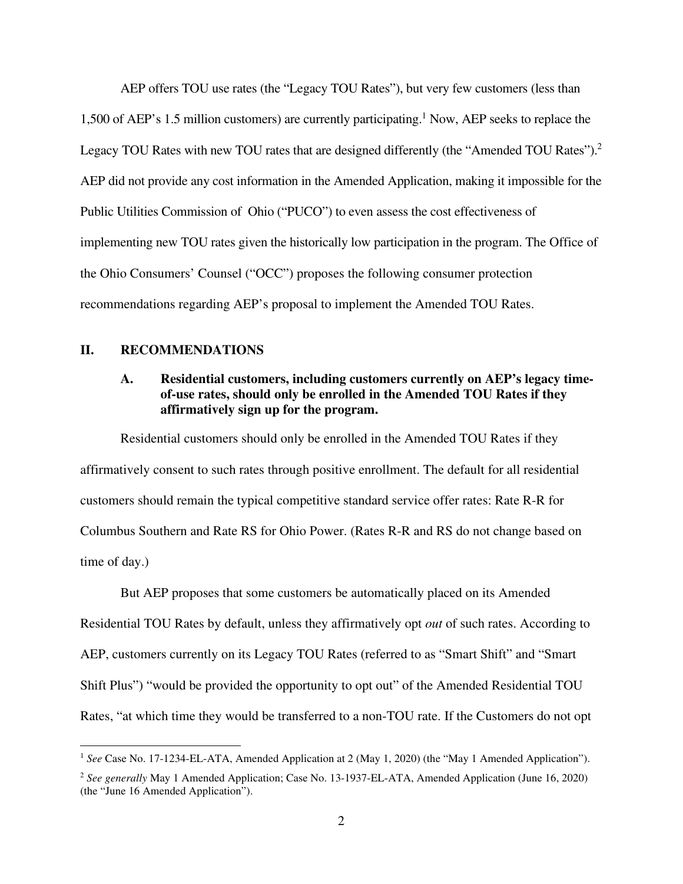AEP offers TOU use rates (the "Legacy TOU Rates"), but very few customers (less than 1,500 of AEP's 1.5 million customers) are currently participating.<sup>1</sup> Now, AEP seeks to replace the Legacy TOU Rates with new TOU rates that are designed differently (the "Amended TOU Rates").<sup>2</sup> AEP did not provide any cost information in the Amended Application, making it impossible for the Public Utilities Commission of Ohio ("PUCO") to even assess the cost effectiveness of implementing new TOU rates given the historically low participation in the program. The Office of the Ohio Consumers' Counsel ("OCC") proposes the following consumer protection recommendations regarding AEP's proposal to implement the Amended TOU Rates.

#### **II. RECOMMENDATIONS**

### **A. Residential customers, including customers currently on AEP's legacy timeof-use rates, should only be enrolled in the Amended TOU Rates if they affirmatively sign up for the program.**

Residential customers should only be enrolled in the Amended TOU Rates if they affirmatively consent to such rates through positive enrollment. The default for all residential customers should remain the typical competitive standard service offer rates: Rate R-R for Columbus Southern and Rate RS for Ohio Power. (Rates R-R and RS do not change based on time of day.)

But AEP proposes that some customers be automatically placed on its Amended Residential TOU Rates by default, unless they affirmatively opt *out* of such rates. According to AEP, customers currently on its Legacy TOU Rates (referred to as "Smart Shift" and "Smart Shift Plus") "would be provided the opportunity to opt out" of the Amended Residential TOU Rates, "at which time they would be transferred to a non-TOU rate. If the Customers do not opt

<sup>&</sup>lt;sup>1</sup> See Case No. 17-1234-EL-ATA, Amended Application at 2 (May 1, 2020) (the "May 1 Amended Application").

<sup>2</sup> *See generally* May 1 Amended Application; Case No. 13-1937-EL-ATA, Amended Application (June 16, 2020) (the "June 16 Amended Application").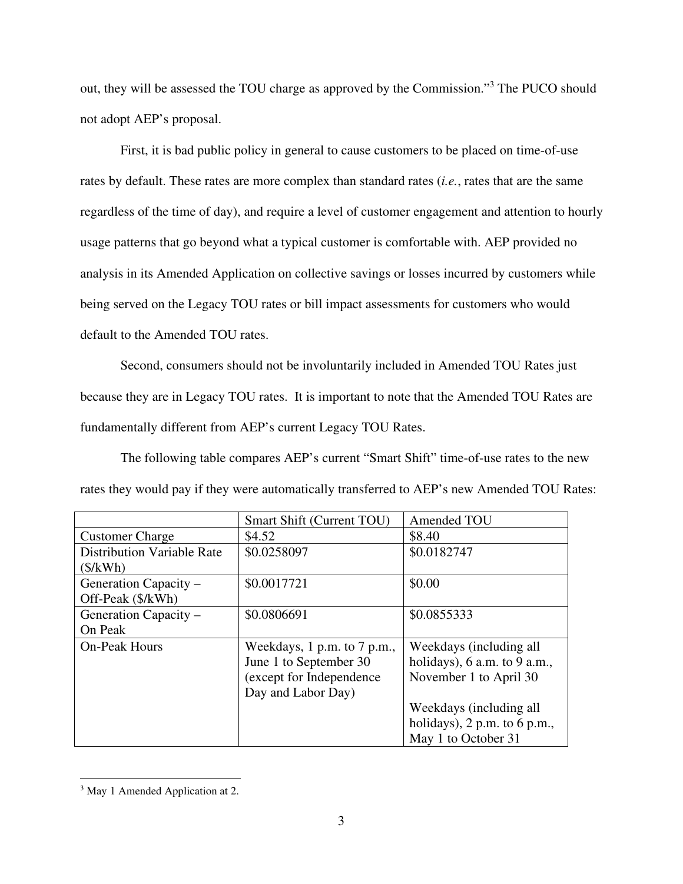out, they will be assessed the TOU charge as approved by the Commission."<sup>3</sup> The PUCO should not adopt AEP's proposal.

First, it is bad public policy in general to cause customers to be placed on time-of-use rates by default. These rates are more complex than standard rates (*i.e.*, rates that are the same regardless of the time of day), and require a level of customer engagement and attention to hourly usage patterns that go beyond what a typical customer is comfortable with. AEP provided no analysis in its Amended Application on collective savings or losses incurred by customers while being served on the Legacy TOU rates or bill impact assessments for customers who would default to the Amended TOU rates.

Second, consumers should not be involuntarily included in Amended TOU Rates just because they are in Legacy TOU rates. It is important to note that the Amended TOU Rates are fundamentally different from AEP's current Legacy TOU Rates.

The following table compares AEP's current "Smart Shift" time-of-use rates to the new rates they would pay if they were automatically transferred to AEP's new Amended TOU Rates:

|                                   | Smart Shift (Current TOU)   | Amended TOU                      |
|-----------------------------------|-----------------------------|----------------------------------|
| <b>Customer Charge</b>            | \$4.52                      | \$8.40                           |
| <b>Distribution Variable Rate</b> | \$0.0258097                 | \$0.0182747                      |
| (\$/kWh)                          |                             |                                  |
| Generation Capacity –             | \$0.0017721                 | \$0.00                           |
| Off-Peak (\$/kWh)                 |                             |                                  |
| Generation Capacity -             | \$0.0806691                 | \$0.0855333                      |
| On Peak                           |                             |                                  |
| <b>On-Peak Hours</b>              | Weekdays, 1 p.m. to 7 p.m., | Weekdays (including all          |
|                                   | June 1 to September 30      | holidays), $6$ a.m. to $9$ a.m., |
|                                   | (except for Independence)   | November 1 to April 30           |
|                                   | Day and Labor Day)          |                                  |
|                                   |                             | Weekdays (including all          |
|                                   |                             | holidays), $2 p.m.$ to 6 p.m.,   |
|                                   |                             | May 1 to October 31              |

<sup>&</sup>lt;sup>3</sup> May 1 Amended Application at 2.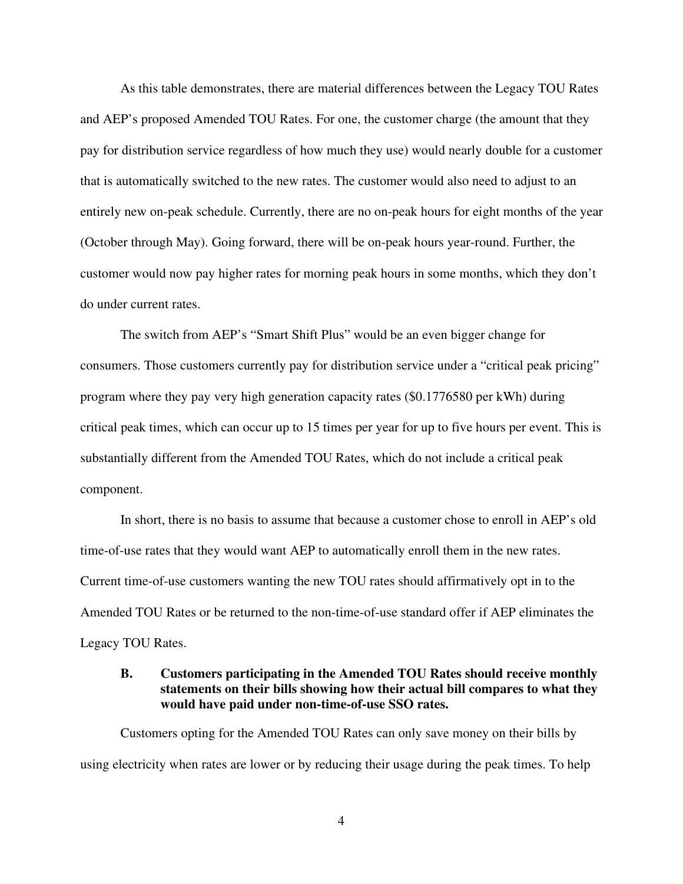As this table demonstrates, there are material differences between the Legacy TOU Rates and AEP's proposed Amended TOU Rates. For one, the customer charge (the amount that they pay for distribution service regardless of how much they use) would nearly double for a customer that is automatically switched to the new rates. The customer would also need to adjust to an entirely new on-peak schedule. Currently, there are no on-peak hours for eight months of the year (October through May). Going forward, there will be on-peak hours year-round. Further, the customer would now pay higher rates for morning peak hours in some months, which they don't do under current rates.

The switch from AEP's "Smart Shift Plus" would be an even bigger change for consumers. Those customers currently pay for distribution service under a "critical peak pricing" program where they pay very high generation capacity rates (\$0.1776580 per kWh) during critical peak times, which can occur up to 15 times per year for up to five hours per event. This is substantially different from the Amended TOU Rates, which do not include a critical peak component.

In short, there is no basis to assume that because a customer chose to enroll in AEP's old time-of-use rates that they would want AEP to automatically enroll them in the new rates. Current time-of-use customers wanting the new TOU rates should affirmatively opt in to the Amended TOU Rates or be returned to the non-time-of-use standard offer if AEP eliminates the Legacy TOU Rates.

#### **B. Customers participating in the Amended TOU Rates should receive monthly statements on their bills showing how their actual bill compares to what they would have paid under non-time-of-use SSO rates.**

Customers opting for the Amended TOU Rates can only save money on their bills by using electricity when rates are lower or by reducing their usage during the peak times. To help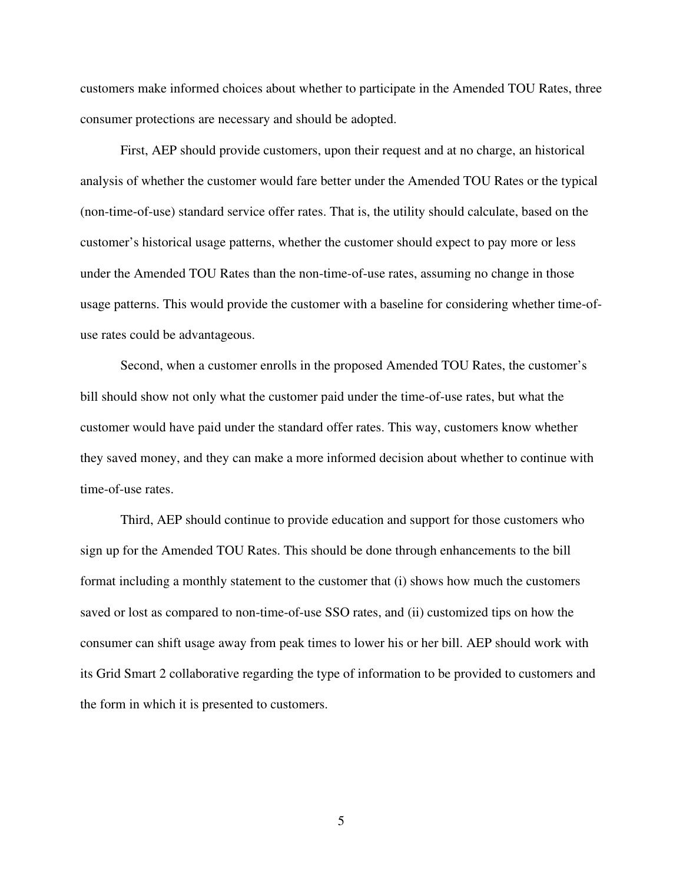customers make informed choices about whether to participate in the Amended TOU Rates, three consumer protections are necessary and should be adopted.

First, AEP should provide customers, upon their request and at no charge, an historical analysis of whether the customer would fare better under the Amended TOU Rates or the typical (non-time-of-use) standard service offer rates. That is, the utility should calculate, based on the customer's historical usage patterns, whether the customer should expect to pay more or less under the Amended TOU Rates than the non-time-of-use rates, assuming no change in those usage patterns. This would provide the customer with a baseline for considering whether time-ofuse rates could be advantageous.

Second, when a customer enrolls in the proposed Amended TOU Rates, the customer's bill should show not only what the customer paid under the time-of-use rates, but what the customer would have paid under the standard offer rates. This way, customers know whether they saved money, and they can make a more informed decision about whether to continue with time-of-use rates.

Third, AEP should continue to provide education and support for those customers who sign up for the Amended TOU Rates. This should be done through enhancements to the bill format including a monthly statement to the customer that (i) shows how much the customers saved or lost as compared to non-time-of-use SSO rates, and (ii) customized tips on how the consumer can shift usage away from peak times to lower his or her bill. AEP should work with its Grid Smart 2 collaborative regarding the type of information to be provided to customers and the form in which it is presented to customers.

5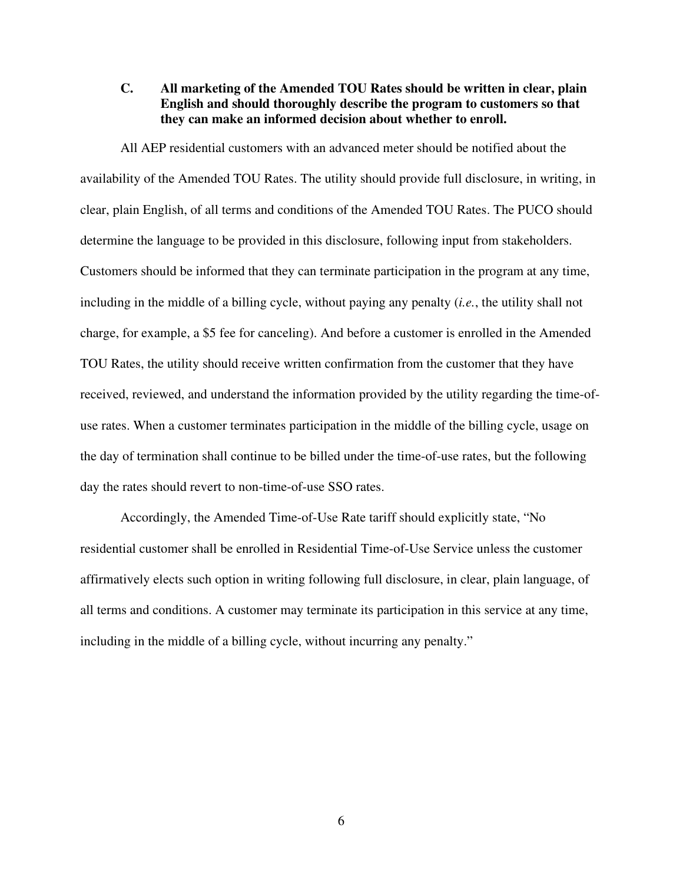**C. All marketing of the Amended TOU Rates should be written in clear, plain English and should thoroughly describe the program to customers so that they can make an informed decision about whether to enroll.** 

All AEP residential customers with an advanced meter should be notified about the availability of the Amended TOU Rates. The utility should provide full disclosure, in writing, in clear, plain English, of all terms and conditions of the Amended TOU Rates. The PUCO should determine the language to be provided in this disclosure, following input from stakeholders. Customers should be informed that they can terminate participation in the program at any time, including in the middle of a billing cycle, without paying any penalty (*i.e.*, the utility shall not charge, for example, a \$5 fee for canceling). And before a customer is enrolled in the Amended TOU Rates, the utility should receive written confirmation from the customer that they have received, reviewed, and understand the information provided by the utility regarding the time-ofuse rates. When a customer terminates participation in the middle of the billing cycle, usage on the day of termination shall continue to be billed under the time-of-use rates, but the following day the rates should revert to non-time-of-use SSO rates.

Accordingly, the Amended Time-of-Use Rate tariff should explicitly state, "No residential customer shall be enrolled in Residential Time-of-Use Service unless the customer affirmatively elects such option in writing following full disclosure, in clear, plain language, of all terms and conditions. A customer may terminate its participation in this service at any time, including in the middle of a billing cycle, without incurring any penalty."

6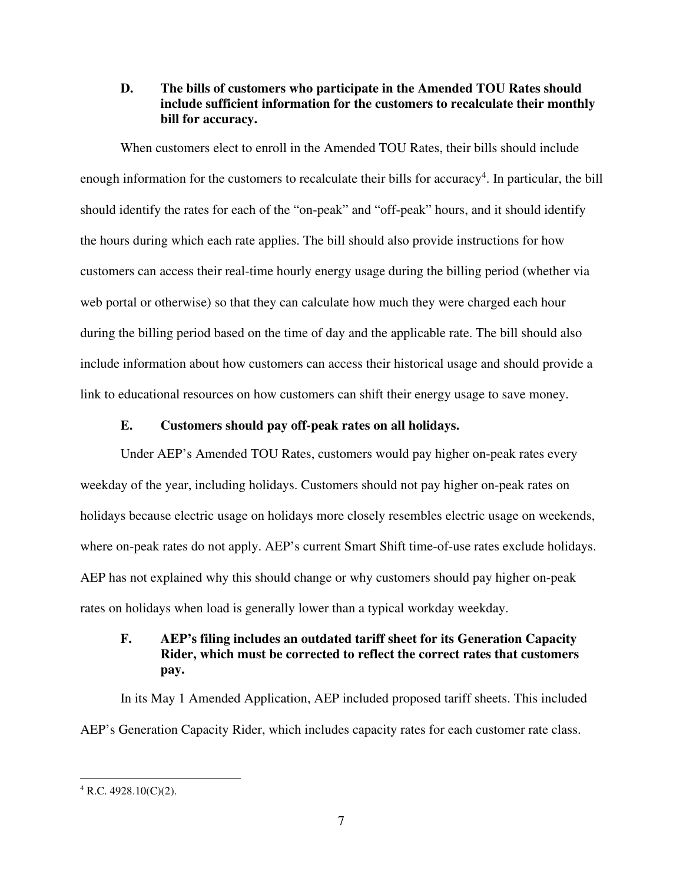**D. The bills of customers who participate in the Amended TOU Rates should include sufficient information for the customers to recalculate their monthly bill for accuracy.** 

When customers elect to enroll in the Amended TOU Rates, their bills should include enough information for the customers to recalculate their bills for accuracy<sup>4</sup>. In particular, the bill should identify the rates for each of the "on-peak" and "off-peak" hours, and it should identify the hours during which each rate applies. The bill should also provide instructions for how customers can access their real-time hourly energy usage during the billing period (whether via web portal or otherwise) so that they can calculate how much they were charged each hour during the billing period based on the time of day and the applicable rate. The bill should also include information about how customers can access their historical usage and should provide a link to educational resources on how customers can shift their energy usage to save money.

#### **E. Customers should pay off-peak rates on all holidays.**

Under AEP's Amended TOU Rates, customers would pay higher on-peak rates every weekday of the year, including holidays. Customers should not pay higher on-peak rates on holidays because electric usage on holidays more closely resembles electric usage on weekends, where on-peak rates do not apply. AEP's current Smart Shift time-of-use rates exclude holidays. AEP has not explained why this should change or why customers should pay higher on-peak rates on holidays when load is generally lower than a typical workday weekday.

## **F. AEP's filing includes an outdated tariff sheet for its Generation Capacity Rider, which must be corrected to reflect the correct rates that customers pay.**

In its May 1 Amended Application, AEP included proposed tariff sheets. This included AEP's Generation Capacity Rider, which includes capacity rates for each customer rate class.

 $4$  R.C. 4928.10(C)(2).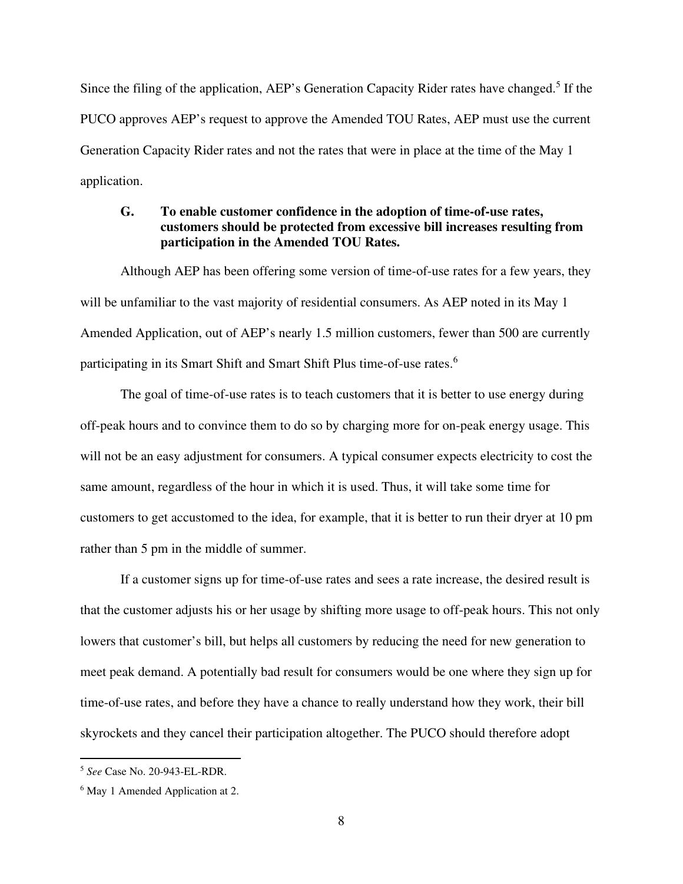Since the filing of the application, AEP's Generation Capacity Rider rates have changed.<sup>5</sup> If the PUCO approves AEP's request to approve the Amended TOU Rates, AEP must use the current Generation Capacity Rider rates and not the rates that were in place at the time of the May 1 application.

### **G. To enable customer confidence in the adoption of time-of-use rates, customers should be protected from excessive bill increases resulting from participation in the Amended TOU Rates.**

Although AEP has been offering some version of time-of-use rates for a few years, they will be unfamiliar to the vast majority of residential consumers. As AEP noted in its May 1 Amended Application, out of AEP's nearly 1.5 million customers, fewer than 500 are currently participating in its Smart Shift and Smart Shift Plus time-of-use rates.<sup>6</sup>

The goal of time-of-use rates is to teach customers that it is better to use energy during off-peak hours and to convince them to do so by charging more for on-peak energy usage. This will not be an easy adjustment for consumers. A typical consumer expects electricity to cost the same amount, regardless of the hour in which it is used. Thus, it will take some time for customers to get accustomed to the idea, for example, that it is better to run their dryer at 10 pm rather than 5 pm in the middle of summer.

If a customer signs up for time-of-use rates and sees a rate increase, the desired result is that the customer adjusts his or her usage by shifting more usage to off-peak hours. This not only lowers that customer's bill, but helps all customers by reducing the need for new generation to meet peak demand. A potentially bad result for consumers would be one where they sign up for time-of-use rates, and before they have a chance to really understand how they work, their bill skyrockets and they cancel their participation altogether. The PUCO should therefore adopt

<sup>5</sup> *See* Case No. 20-943-EL-RDR.

<sup>6</sup> May 1 Amended Application at 2.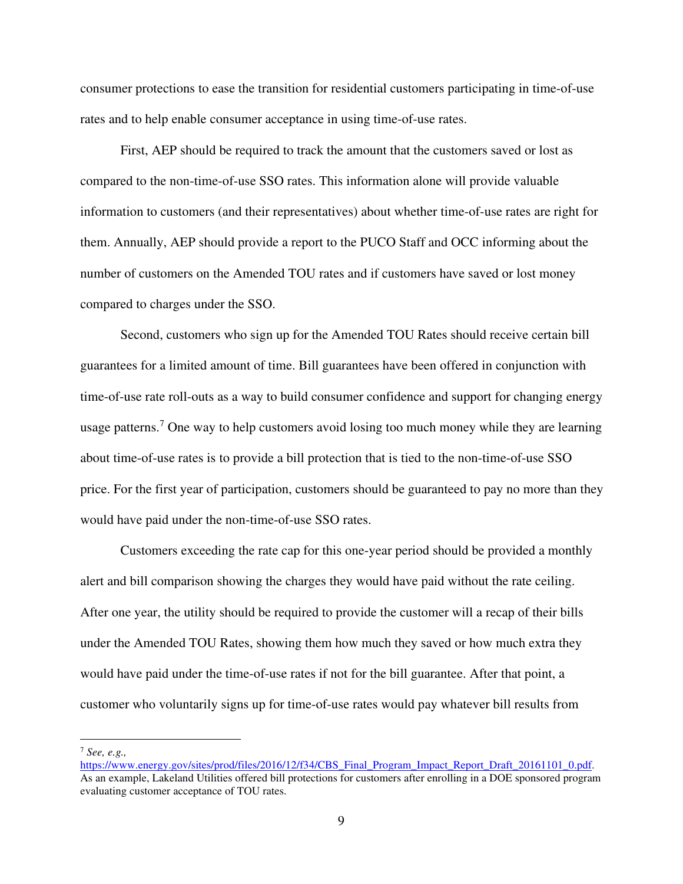consumer protections to ease the transition for residential customers participating in time-of-use rates and to help enable consumer acceptance in using time-of-use rates.

First, AEP should be required to track the amount that the customers saved or lost as compared to the non-time-of-use SSO rates. This information alone will provide valuable information to customers (and their representatives) about whether time-of-use rates are right for them. Annually, AEP should provide a report to the PUCO Staff and OCC informing about the number of customers on the Amended TOU rates and if customers have saved or lost money compared to charges under the SSO.

Second, customers who sign up for the Amended TOU Rates should receive certain bill guarantees for a limited amount of time. Bill guarantees have been offered in conjunction with time-of-use rate roll-outs as a way to build consumer confidence and support for changing energy usage patterns.<sup>7</sup> One way to help customers avoid losing too much money while they are learning about time-of-use rates is to provide a bill protection that is tied to the non-time-of-use SSO price. For the first year of participation, customers should be guaranteed to pay no more than they would have paid under the non-time-of-use SSO rates.

Customers exceeding the rate cap for this one-year period should be provided a monthly alert and bill comparison showing the charges they would have paid without the rate ceiling. After one year, the utility should be required to provide the customer will a recap of their bills under the Amended TOU Rates, showing them how much they saved or how much extra they would have paid under the time-of-use rates if not for the bill guarantee. After that point, a customer who voluntarily signs up for time-of-use rates would pay whatever bill results from

<sup>7</sup> *See, e.g.,* 

https://www.energy.gov/sites/prod/files/2016/12/f34/CBS\_Final\_Program\_Impact\_Report\_Draft\_20161101\_0.pdf. As an example, Lakeland Utilities offered bill protections for customers after enrolling in a DOE sponsored program evaluating customer acceptance of TOU rates.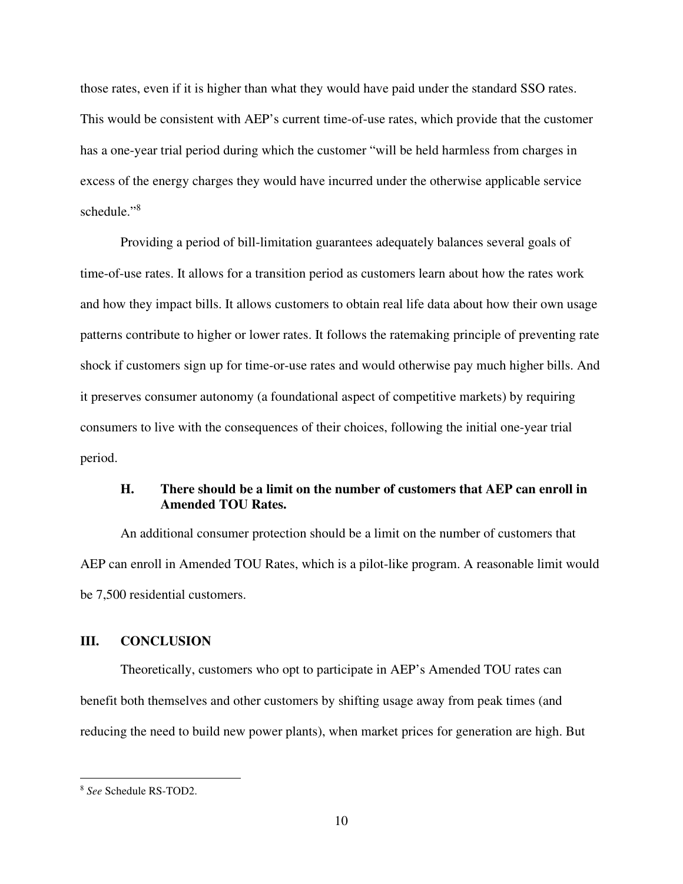those rates, even if it is higher than what they would have paid under the standard SSO rates. This would be consistent with AEP's current time-of-use rates, which provide that the customer has a one-year trial period during which the customer "will be held harmless from charges in excess of the energy charges they would have incurred under the otherwise applicable service schedule."<sup>8</sup>

Providing a period of bill-limitation guarantees adequately balances several goals of time-of-use rates. It allows for a transition period as customers learn about how the rates work and how they impact bills. It allows customers to obtain real life data about how their own usage patterns contribute to higher or lower rates. It follows the ratemaking principle of preventing rate shock if customers sign up for time-or-use rates and would otherwise pay much higher bills. And it preserves consumer autonomy (a foundational aspect of competitive markets) by requiring consumers to live with the consequences of their choices, following the initial one-year trial period.

### **H. There should be a limit on the number of customers that AEP can enroll in Amended TOU Rates.**

An additional consumer protection should be a limit on the number of customers that AEP can enroll in Amended TOU Rates, which is a pilot-like program. A reasonable limit would be 7,500 residential customers.

### **III. CONCLUSION**

Theoretically, customers who opt to participate in AEP's Amended TOU rates can benefit both themselves and other customers by shifting usage away from peak times (and reducing the need to build new power plants), when market prices for generation are high. But

<sup>8</sup> *See* Schedule RS-TOD2.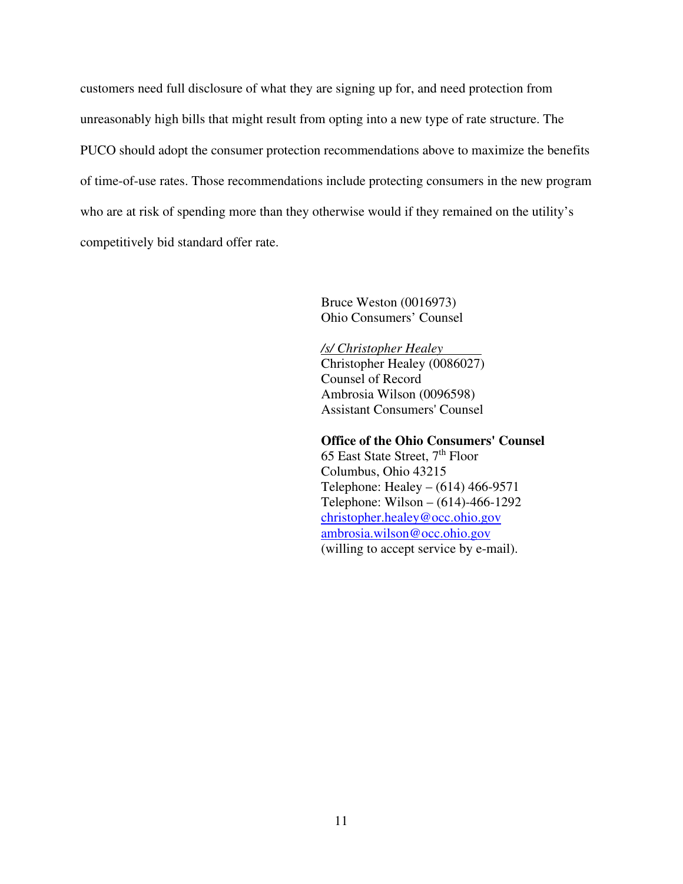customers need full disclosure of what they are signing up for, and need protection from unreasonably high bills that might result from opting into a new type of rate structure. The PUCO should adopt the consumer protection recommendations above to maximize the benefits of time-of-use rates. Those recommendations include protecting consumers in the new program who are at risk of spending more than they otherwise would if they remained on the utility's competitively bid standard offer rate.

> Bruce Weston (0016973) Ohio Consumers' Counsel

*/s/ Christopher Healey*  Christopher Healey (0086027) Counsel of Record Ambrosia Wilson (0096598) Assistant Consumers' Counsel

**Office of the Ohio Consumers' Counsel**  65 East State Street, 7<sup>th</sup> Floor Columbus, Ohio 43215 Telephone: Healey – (614) 466-9571 Telephone: Wilson – (614)-466-1292 christopher.healey@occ.ohio.gov ambrosia.wilson@occ.ohio.gov (willing to accept service by e-mail).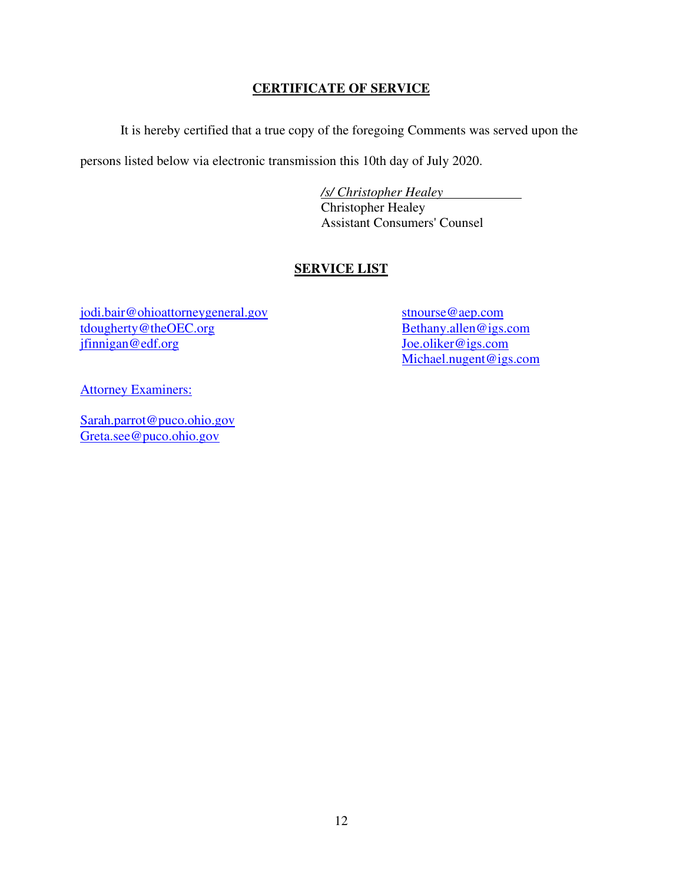## **CERTIFICATE OF SERVICE**

It is hereby certified that a true copy of the foregoing Comments was served upon the

persons listed below via electronic transmission this 10th day of July 2020.

 */s/ Christopher Healey*  Christopher Healey Assistant Consumers' Counsel

## **SERVICE LIST**

jodi.bair@ohioattorneygeneral.gov tdougherty@theOEC.org jfinnigan@edf.org

stnourse@aep.com Bethany.allen@igs.com Joe.oliker@igs.com Michael.nugent@igs.com

**Attorney Examiners:** 

Sarah.parrot@puco.ohio.gov Greta.see@puco.ohio.gov